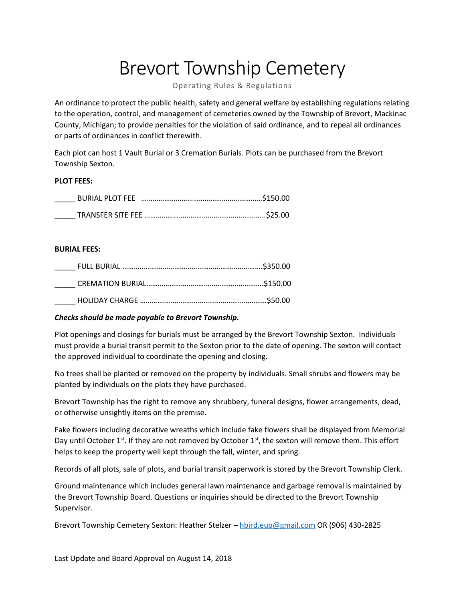## Brevort Township Cemetery

Operating Rules & Regulations

An ordinance to protect the public health, safety and general welfare by establishing regulations relating to the operation, control, and management of cemeteries owned by the Township of Brevort, Mackinac County, Michigan; to provide penalties for the violation of said ordinance, and to repeal all ordinances or parts of ordinances in conflict therewith.

Each plot can host 1 Vault Burial or 3 Cremation Burials. Plots can be purchased from the Brevort Township Sexton.

## **PLOT FEES:**

## **BURIAL FEES:**

| $\mathcal{L}^{\text{max}}$ |  |
|----------------------------|--|
|                            |  |
|                            |  |

## *Checks should be made payable to Brevort Township.*

Plot openings and closings for burials must be arranged by the Brevort Township Sexton. Individuals must provide a burial transit permit to the Sexton prior to the date of opening. The sexton will contact the approved individual to coordinate the opening and closing.

No trees shall be planted or removed on the property by individuals. Small shrubs and flowers may be planted by individuals on the plots they have purchased.

Brevort Township has the right to remove any shrubbery, funeral designs, flower arrangements, dead, or otherwise unsightly items on the premise.

Fake flowers including decorative wreaths which include fake flowers shall be displayed from Memorial Day until October  $1^{st}$ . If they are not removed by October  $1^{st}$ , the sexton will remove them. This effort helps to keep the property well kept through the fall, winter, and spring.

Records of all plots, sale of plots, and burial transit paperwork is stored by the Brevort Township Clerk.

Ground maintenance which includes general lawn maintenance and garbage removal is maintained by the Brevort Township Board. Questions or inquiries should be directed to the Brevort Township Supervisor.

Brevort Township Cemetery Sexton: Heather Stelzer – [hbird.eup@gmail.com](mailto:hbird.eup@gmail.com) OR (906) 430-2825